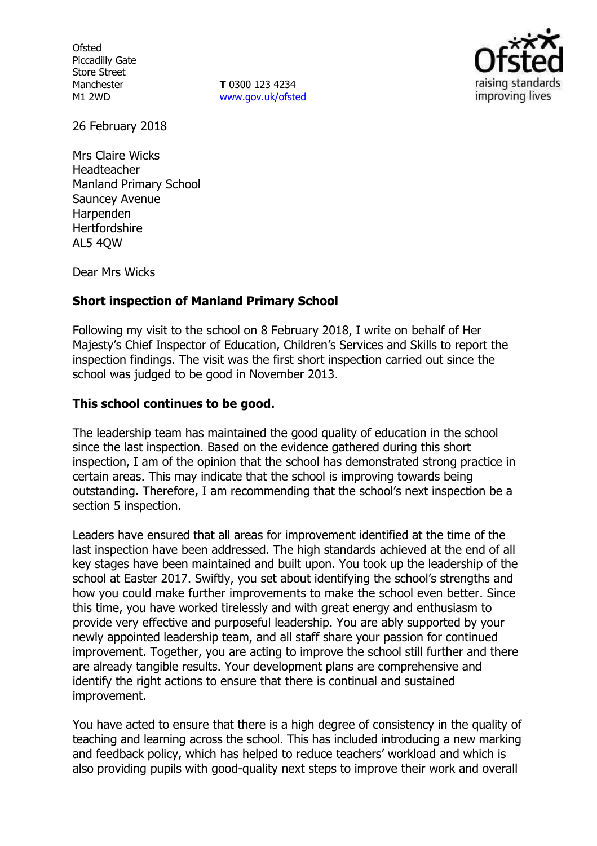**Ofsted** Piccadilly Gate Store Street Manchester M1 2WD

**T** 0300 123 4234 [www.gov.uk/ofsted](http://www.gov.uk/ofsted)



26 February 2018

Mrs Claire Wicks Headteacher Manland Primary School Sauncey Avenue Harpenden **Hertfordshire** AL5 4QW

Dear Mrs Wicks

# **Short inspection of Manland Primary School**

Following my visit to the school on 8 February 2018, I write on behalf of Her Majesty's Chief Inspector of Education, Children's Services and Skills to report the inspection findings. The visit was the first short inspection carried out since the school was judged to be good in November 2013.

# **This school continues to be good.**

The leadership team has maintained the good quality of education in the school since the last inspection. Based on the evidence gathered during this short inspection, I am of the opinion that the school has demonstrated strong practice in certain areas. This may indicate that the school is improving towards being outstanding. Therefore, I am recommending that the school's next inspection be a section 5 inspection.

Leaders have ensured that all areas for improvement identified at the time of the last inspection have been addressed. The high standards achieved at the end of all key stages have been maintained and built upon. You took up the leadership of the school at Easter 2017. Swiftly, you set about identifying the school's strengths and how you could make further improvements to make the school even better. Since this time, you have worked tirelessly and with great energy and enthusiasm to provide very effective and purposeful leadership. You are ably supported by your newly appointed leadership team, and all staff share your passion for continued improvement. Together, you are acting to improve the school still further and there are already tangible results. Your development plans are comprehensive and identify the right actions to ensure that there is continual and sustained improvement.

You have acted to ensure that there is a high degree of consistency in the quality of teaching and learning across the school. This has included introducing a new marking and feedback policy, which has helped to reduce teachers' workload and which is also providing pupils with good-quality next steps to improve their work and overall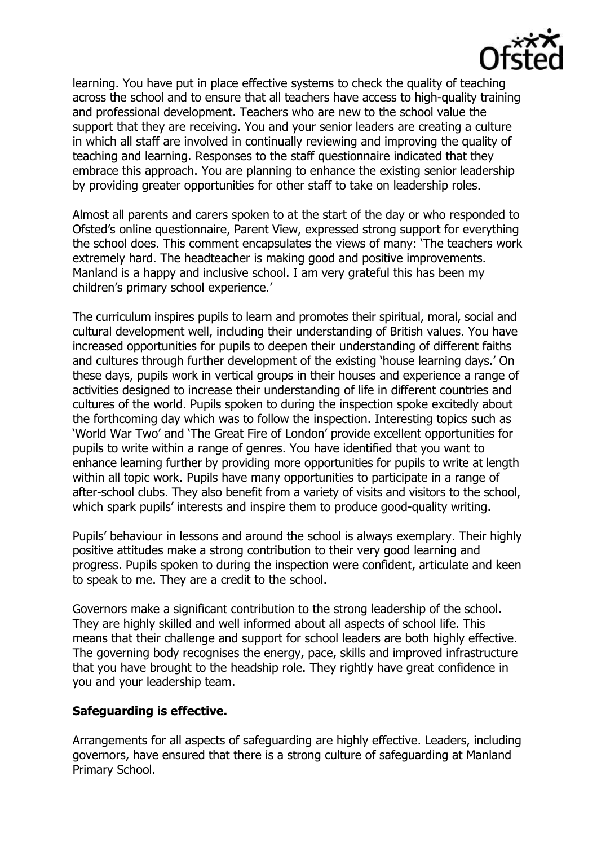

learning. You have put in place effective systems to check the quality of teaching across the school and to ensure that all teachers have access to high-quality training and professional development. Teachers who are new to the school value the support that they are receiving. You and your senior leaders are creating a culture in which all staff are involved in continually reviewing and improving the quality of teaching and learning. Responses to the staff questionnaire indicated that they embrace this approach. You are planning to enhance the existing senior leadership by providing greater opportunities for other staff to take on leadership roles.

Almost all parents and carers spoken to at the start of the day or who responded to Ofsted's online questionnaire, Parent View, expressed strong support for everything the school does. This comment encapsulates the views of many: 'The teachers work extremely hard. The headteacher is making good and positive improvements. Manland is a happy and inclusive school. I am very grateful this has been my children's primary school experience.'

The curriculum inspires pupils to learn and promotes their spiritual, moral, social and cultural development well, including their understanding of British values. You have increased opportunities for pupils to deepen their understanding of different faiths and cultures through further development of the existing 'house learning days.' On these days, pupils work in vertical groups in their houses and experience a range of activities designed to increase their understanding of life in different countries and cultures of the world. Pupils spoken to during the inspection spoke excitedly about the forthcoming day which was to follow the inspection. Interesting topics such as 'World War Two' and 'The Great Fire of London' provide excellent opportunities for pupils to write within a range of genres. You have identified that you want to enhance learning further by providing more opportunities for pupils to write at length within all topic work. Pupils have many opportunities to participate in a range of after-school clubs. They also benefit from a variety of visits and visitors to the school, which spark pupils' interests and inspire them to produce good-quality writing.

Pupils' behaviour in lessons and around the school is always exemplary. Their highly positive attitudes make a strong contribution to their very good learning and progress. Pupils spoken to during the inspection were confident, articulate and keen to speak to me. They are a credit to the school.

Governors make a significant contribution to the strong leadership of the school. They are highly skilled and well informed about all aspects of school life. This means that their challenge and support for school leaders are both highly effective. The governing body recognises the energy, pace, skills and improved infrastructure that you have brought to the headship role. They rightly have great confidence in you and your leadership team.

# **Safeguarding is effective.**

Arrangements for all aspects of safeguarding are highly effective. Leaders, including governors, have ensured that there is a strong culture of safeguarding at Manland Primary School.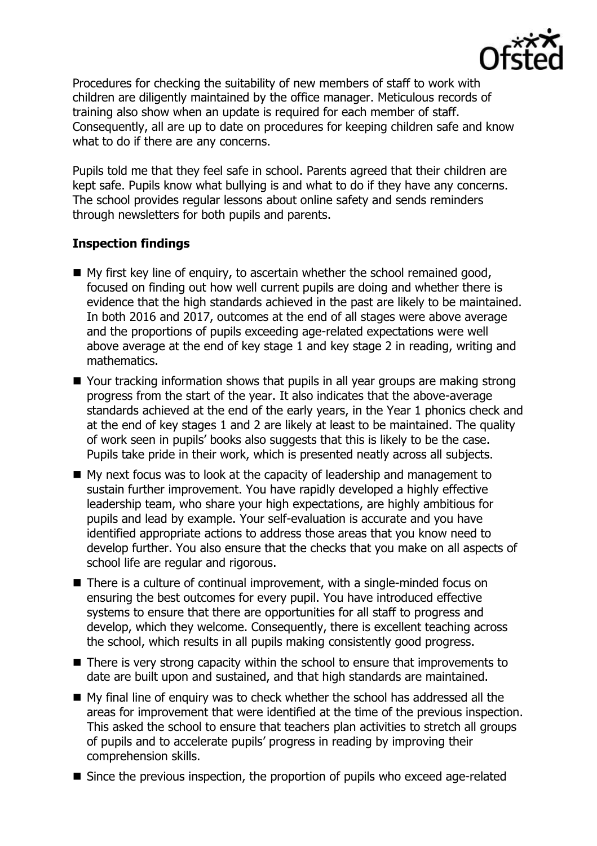

Procedures for checking the suitability of new members of staff to work with children are diligently maintained by the office manager. Meticulous records of training also show when an update is required for each member of staff. Consequently, all are up to date on procedures for keeping children safe and know what to do if there are any concerns.

Pupils told me that they feel safe in school. Parents agreed that their children are kept safe. Pupils know what bullying is and what to do if they have any concerns. The school provides regular lessons about online safety and sends reminders through newsletters for both pupils and parents.

# **Inspection findings**

- My first key line of enquiry, to ascertain whether the school remained good, focused on finding out how well current pupils are doing and whether there is evidence that the high standards achieved in the past are likely to be maintained. In both 2016 and 2017, outcomes at the end of all stages were above average and the proportions of pupils exceeding age-related expectations were well above average at the end of key stage 1 and key stage 2 in reading, writing and mathematics.
- Your tracking information shows that pupils in all year groups are making strong progress from the start of the year. It also indicates that the above-average standards achieved at the end of the early years, in the Year 1 phonics check and at the end of key stages 1 and 2 are likely at least to be maintained. The quality of work seen in pupils' books also suggests that this is likely to be the case. Pupils take pride in their work, which is presented neatly across all subjects.
- My next focus was to look at the capacity of leadership and management to sustain further improvement. You have rapidly developed a highly effective leadership team, who share your high expectations, are highly ambitious for pupils and lead by example. Your self-evaluation is accurate and you have identified appropriate actions to address those areas that you know need to develop further. You also ensure that the checks that you make on all aspects of school life are regular and rigorous.
- There is a culture of continual improvement, with a single-minded focus on ensuring the best outcomes for every pupil. You have introduced effective systems to ensure that there are opportunities for all staff to progress and develop, which they welcome. Consequently, there is excellent teaching across the school, which results in all pupils making consistently good progress.
- There is very strong capacity within the school to ensure that improvements to date are built upon and sustained, and that high standards are maintained.
- My final line of enquiry was to check whether the school has addressed all the areas for improvement that were identified at the time of the previous inspection. This asked the school to ensure that teachers plan activities to stretch all groups of pupils and to accelerate pupils' progress in reading by improving their comprehension skills.
- Since the previous inspection, the proportion of pupils who exceed age-related